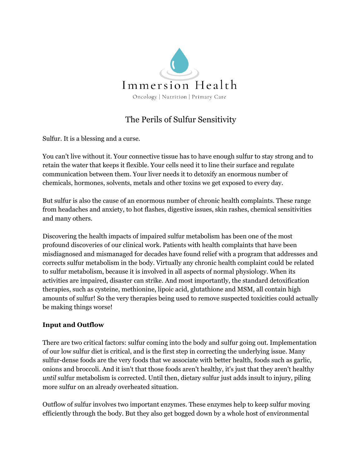

## The Perils of Sulfur Sensitivity

Sulfur. It is a blessing and a curse.

You can't live without it. Your connective tissue has to have enough sulfur to stay strong and to retain the water that keeps it flexible. Your cells need it to line their surface and regulate communication between them. Your liver needs it to detoxify an enormous number of chemicals, hormones, solvents, metals and other toxins we get exposed to every day.

But sulfur is also the cause of an enormous number of chronic health complaints. These range from headaches and anxiety, to hot flashes, digestive issues, skin rashes, chemical sensitivities and many others.

Discovering the health impacts of impaired sulfur metabolism has been one of the most profound discoveries of our clinical work. Patients with health complaints that have been misdiagnosed and mismanaged for decades have found relief with a program that addresses and corrects sulfur metabolism in the body. Virtually any chronic health complaint could be related to sulfur metabolism, because it is involved in all aspects of normal physiology. When its activities are impaired, disaster can strike. And most importantly, the standard detoxification therapies, such as cysteine, methionine, lipoic acid, glutathione and MSM, all contain high amounts of sulfur! So the very therapies being used to remove suspected toxicities could actually be making things worse!

## **Input and Outflow**

There are two critical factors: sulfur coming into the body and sulfur going out. Implementation of our low sulfur diet is critical, and is the first step in correcting the underlying issue. Many sulfur-dense foods are the very foods that we associate with better health, foods such as garlic, onions and broccoli. And it isn't that those foods aren't healthy, it's just that they aren't healthy *until* sulfur metabolism is corrected. Until then, dietary sulfur just adds insult to injury, piling more sulfur on an already overheated situation.

Outflow of sulfur involves two important enzymes. These enzymes help to keep sulfur moving efficiently through the body. But they also get bogged down by a whole host of environmental